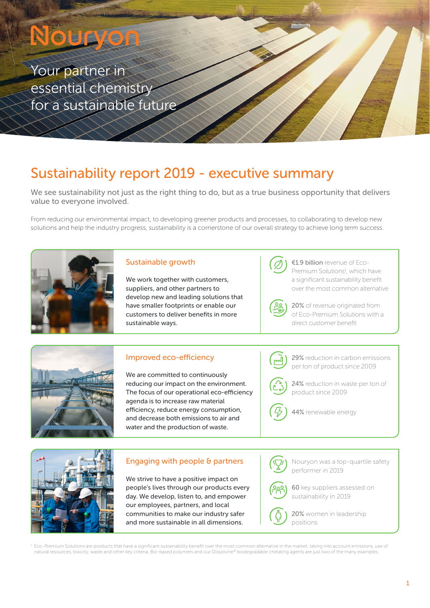# Nouryon

Your partner in essential chemistry for a sustainable future

# Sustainability report 2019 - executive summary

We see sustainability not just as the right thing to do, but as a true business opportunity that delivers value to everyone involved.

From reducing our environmental impact, to developing greener products and processes, to collaborating to develop new solutions and help the industry progress, sustainability is a cornerstone of our overall strategy to achieve long term success.



#### Sustainable growth

We work together with customers, suppliers, and other partners to develop new and leading solutions that have smaller footprints or enable our customers to deliver benefits in more sustainable ways.



€1.9 billion revenue of Eco-Premium Solutions<sup>1</sup>, which have a significant sustainability benefit over the most common alternative

20% of revenue originated from





#### Improved eco-efficiency

We are committed to continuously reducing our impact on the environment. The focus of our operational eco-efficiency agenda is to increase raw material efficiency, reduce energy consumption, and decrease both emissions to air and water and the production of waste.

### 29% reduction in carbon emissions per ton of product since 2009

24% reduction in waste per ton of product since 2009

44% renewable energy



#### Engaging with people & partners

We strive to have a positive impact on people's lives through our products every day. We develop, listen to, and empower our employees, partners, and local communities to make our industry safer and more sustainable in all dimensions.

Nouryon was a top-quartile safety performer in 2019



20% women in leadership positions

 Eco-Premium Solutions are products that have a significant sustainability benefit over the most common alternative in the market, taking into account emissions, use of natural resources, toxicity, waste and other key criteria. Bio-based polymers and our Dissolvine® biodegradable chelating agents are just two of the many examples.

Version April 2020